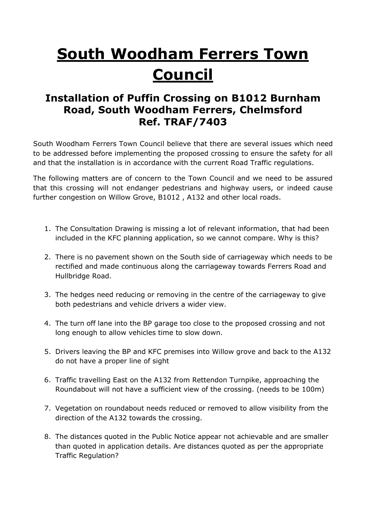## **South Woodham Ferrers Town Council**

## **Installation of Puffin Crossing on B1012 Burnham Road, South Woodham Ferrers, Chelmsford Ref. TRAF/7403**

South Woodham Ferrers Town Council believe that there are several issues which need to be addressed before implementing the proposed crossing to ensure the safety for all and that the installation is in accordance with the current Road Traffic regulations.

The following matters are of concern to the Town Council and we need to be assured that this crossing will not endanger pedestrians and highway users, or indeed cause further congestion on Willow Grove, B1012 , A132 and other local roads.

- 1. The Consultation Drawing is missing a lot of relevant information, that had been included in the KFC planning application, so we cannot compare. Why is this?
- 2. There is no pavement shown on the South side of carriageway which needs to be rectified and made continuous along the carriageway towards Ferrers Road and Hullbridge Road.
- 3. The hedges need reducing or removing in the centre of the carriageway to give both pedestrians and vehicle drivers a wider view.
- 4. The turn off lane into the BP garage too close to the proposed crossing and not long enough to allow vehicles time to slow down.
- 5. Drivers leaving the BP and KFC premises into Willow grove and back to the A132 do not have a proper line of sight
- 6. Traffic travelling East on the A132 from Rettendon Turnpike, approaching the Roundabout will not have a sufficient view of the crossing. (needs to be 100m)
- 7. Vegetation on roundabout needs reduced or removed to allow visibility from the direction of the A132 towards the crossing.
- 8. The distances quoted in the Public Notice appear not achievable and are smaller than quoted in application details. Are distances quoted as per the appropriate Traffic Regulation?